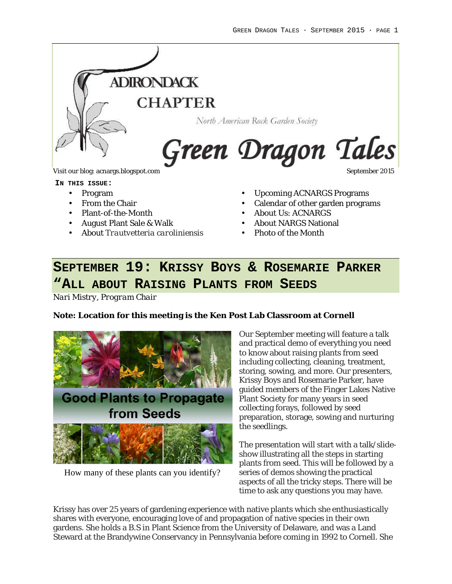

#### **IN THIS ISSUE:**

- Program
- From the Chair
- Plant-of-the-Month
- August Plant Sale & Walk
- About *Trautvetteria caroliniensis*
- Upcoming ACNARGS Programs
- Calendar of other garden programs
- About Us: ACNARGS
- About NARGS National
- Photo of the Month

# **SEPTEMBER 19: KRISSY BOYS & ROSEMARIE PARKER "ALL ABOUT RAISING PLANTS FROM SEEDS**

*Nari Mistry, Program Chair*

**Note: Location for this meeting is the Ken Post Lab Classroom at Cornell**



How many of these plants can you identify?

Our September meeting will feature a talk and practical demo of everything you need to know about raising plants from seed including collecting, cleaning, treatment, storing, sowing, and more. Our presenters, Krissy Boys and Rosemarie Parker, have guided members of the Finger Lakes Native Plant Society for many years in seed collecting forays, followed by seed preparation, storage, sowing and nurturing the seedlings.

The presentation will start with a talk/slideshow illustrating all the steps in starting plants from seed. This will be followed by a series of demos showing the practical aspects of all the tricky steps. There will be time to ask any questions you may have.

Krissy has over 25 years of gardening experience with native plants which she enthusiastically shares with everyone, encouraging love of and propagation of native species in their own gardens. She holds a B.S in Plant Science from the University of Delaware, and was a Land Steward at the Brandywine Conservancy in Pennsylvania before coming in 1992 to Cornell. She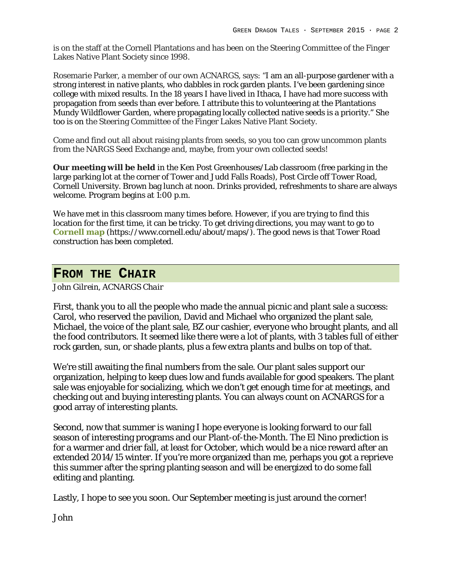is on the staff at the Cornell Plantations and has been on the Steering Committee of the Finger Lakes Native Plant Society since 1998.

Rosemarie Parker, a member of our own ACNARGS, says: "I am an all-purpose gardener with a strong interest in native plants, who dabbles in rock garden plants. I've been gardening since college with mixed results. In the 18 years I have lived in Ithaca, I have had more success with propagation from seeds than ever before. I attribute this to volunteering at the Plantations Mundy Wildflower Garden, where propagating locally collected native seeds is a priority." She too is on the Steering Committee of the Finger Lakes Native Plant Society.

Come and find out all about raising plants from seeds, so you too can grow uncommon plants from the NARGS Seed Exchange and, maybe, from your own collected seeds!

**Our meeting will be held** in the Ken Post Greenhouses/Lab classroom (free parking in the large parking lot at the corner of Tower and Judd Falls Roads), Post Circle off Tower Road, Cornell University. Brown bag lunch at noon. Drinks provided, refreshments to share are always welcome. Program begins at 1:00 p.m.

We have met in this classroom many times before. However, if you are trying to find this location for the first time, it can be tricky. To get driving directions, you may want to go to **Cornell map** (https://www.cornell.edu/about/maps/). The good news is that Tower Road construction has been completed.

#### **FROM THE CHAIR**

#### *John Gilrein, ACNARGS Chair*

First, thank you to all the people who made the annual picnic and plant sale a success: Carol, who reserved the pavilion, David and Michael who organized the plant sale, Michael, the voice of the plant sale, BZ our cashier, everyone who brought plants, and all the food contributors. It seemed like there were a lot of plants, with 3 tables full of either rock garden, sun, or shade plants, plus a few extra plants and bulbs on top of that.

We're still awaiting the final numbers from the sale. Our plant sales support our organization, helping to keep dues low and funds available for good speakers. The plant sale was enjoyable for socializing, which we don't get enough time for at meetings, and checking out and buying interesting plants. You can always count on ACNARGS for a good array of interesting plants.

Second, now that summer is waning I hope everyone is looking forward to our fall season of interesting programs and our Plant-of-the-Month. The El Nino prediction is for a warmer and drier fall, at least for October, which would be a nice reward after an extended 2014/15 winter. If you're more organized than me, perhaps you got a reprieve this summer after the spring planting season and will be energized to do some fall editing and planting.

Lastly, I hope to see you soon. Our September meeting is just around the corner!

John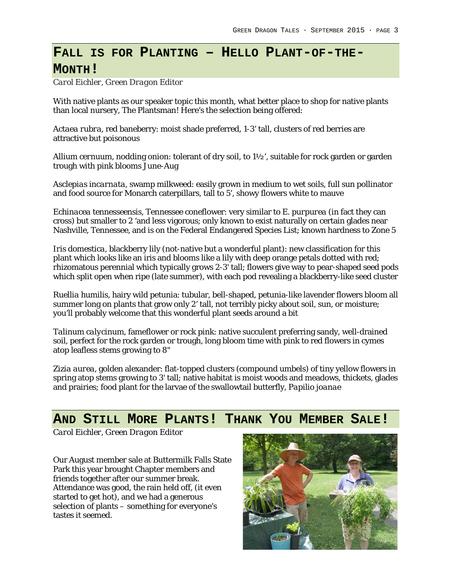# **FALL IS FOR PLANTING – HELLO PLANT-OF-THE-**

#### **MONTH!**

*Carol Eichler, Green Dragon Editor*

With native plants as our speaker topic this month, what better place to shop for native plants than local nursery, The Plantsman! Here's the selection being offered:

*Actaea rubra*, red baneberry: moist shade preferred, 1-3' tall, clusters of red berries are attractive but poisonous

*Allium cernuum*, nodding onion: tolerant of dry soil, to 1½', suitable for rock garden or garden trough with pink blooms June-Aug

*Asclepias incarnata*, swamp milkweed: easily grown in medium to wet soils, full sun pollinator and food source for Monarch caterpillars, tall to 5', showy flowers white to mauve

*Echinacea tennesseensis*, Tennessee coneflower: very similar to *E. purpurea* (in fact they can cross) but smaller to 2 'and less vigorous; only known to exist naturally on certain glades near Nashville, Tennessee, and is on the Federal Endangered Species List; known hardness to Zone 5

*Iris domestica*, blackberry lily (not-native but a wonderful plant): new classification for this plant which looks like an iris and blooms like a lily with deep orange petals dotted with red; rhizomatous perennial which typically grows 2-3' tall; flowers give way to pear-shaped seed pods which split open when ripe (late summer), with each pod revealing a blackberry-like seed cluster

*Ruellia humilis*, hairy wild petunia: tubular, bell-shaped, petunia-like lavender flowers bloom all summer long on plants that grow only 2' tall, not terribly picky about soil, sun, or moisture; you'll probably welcome that this wonderful plant seeds around a bit

*Talinum calycinum*, fameflower or rock pink: native succulent preferring sandy, well-drained soil, perfect for the rock garden or trough, long bloom time with pink to red flowers in cymes atop leafless stems growing to 8"

*Zizia aurea*, golden alexander: flat-topped clusters (compound umbels) of tiny yellow flowers in spring atop stems growing to 3' tall; native habitat is moist woods and meadows, thickets, glades and prairies; food plant for the larvae of the swallowtail butterfly, *Papilio joanae*

### **AND STILL MORE PLANTS! THANK YOU MEMBER SALE!**

*Carol Eichler, Green Dragon Editor*

Our August member sale at Buttermilk Falls State Park this year brought Chapter members and friends together after our summer break. Attendance was good, the rain held off, (it even started to get hot), and we had a generous selection of plants – something for everyone's tastes it seemed.

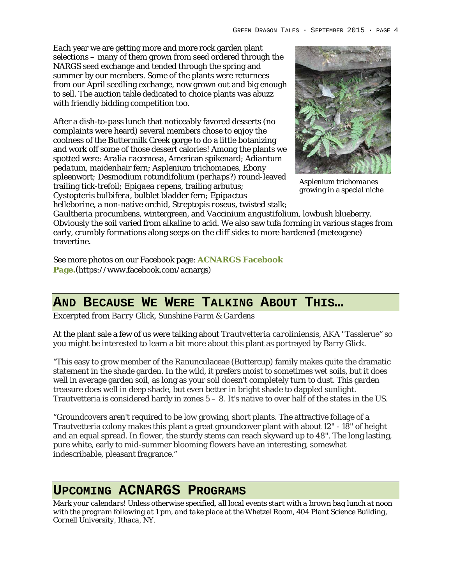Each year we are getting more and more rock garden plant selections – many of them grown from seed ordered through the NARGS seed exchange and tended through the spring and summer by our members. Some of the plants were returnees from our April seedling exchange, now grown out and big enough to sell. The auction table dedicated to choice plants was abuzz with friendly bidding competition too.

After a dish-to-pass lunch that noticeably favored desserts (no complaints were heard) several members chose to enjoy the coolness of the Buttermilk Creek gorge to do a little botanizing and work off some of those dessert calories! Among the plants we spotted were: *Aralia racemosa,* American spikenard; *Adiantum pedatum*, maidenhair fern; *Asplenium trichomanes,* Ebony spleenwort*; Desmodium rotundifolium (perhaps?)* round-leaved trailing tick-trefoil*; Epigaea repens,* trailing arbutus*; Cystopteris bulbifera,* bulblet bladder fern*; Epipactus* 



*Asplenium trichomanes* growing in a special niche

*helleborine,* a non-native orchid, *Streptopis roseus,* twisted stalk; *Gaultheria procumbens*, wintergreen, and *Vaccinium angustifolium*, lowbush blueberry. Obviously the soil varied from alkaline to acid. We also saw tufa forming in various stages from early, crumbly formations along seeps on the cliff sides to more hardened (meteogene) travertine.

See more photos on our Facebook page: **ACNARGS Facebook Page.**(https://www.facebook.com/acnargs)

# **AND BECAUSE WE WERE TALKING ABOUT THIS…**

*Excerpted from Barry Glick, Sunshine Farm & Gardens*

At the plant sale a few of us were talking about *Trautvetteria caroliniensis,* AKA "Tasslerue" so you might be interested to learn a bit more about this plant as portrayed by Barry Glick.

"This easy to grow member of the Ranunculaceae (Buttercup) family makes quite the dramatic statement in the shade garden. In the wild, it prefers moist to sometimes wet soils, but it does well in average garden soil, as long as your soil doesn't completely turn to dust. This garden treasure does well in deep shade, but even better in bright shade to dappled sunlight. Trautvetteria is considered hardy in zones 5 – 8. It's native to over half of the states in the US.

"Groundcovers aren't required to be low growing, short plants. The attractive foliage of a Trautvetteria colony makes this plant a great groundcover plant with about 12" - 18" of height and an equal spread. In flower, the sturdy stems can reach skyward up to 48". The long lasting, pure white, early to mid-summer blooming flowers have an interesting, somewhat indescribable, pleasant fragrance."

### **UPCOMING ACNARGS PROGRAMS**

*Mark your calendars! Unless otherwise specified, all local events start with a brown bag lunch at noon with the program following at 1 pm, and take place at the Whetzel Room, 404 Plant Science Building, Cornell University, Ithaca, NY.*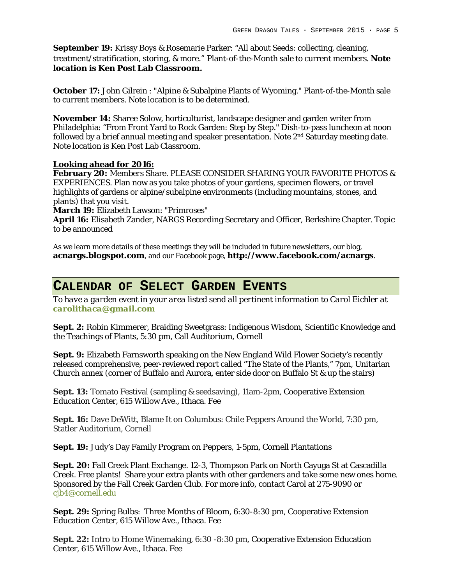**September 19:** Krissy Boys & Rosemarie Parker: "All about Seeds: collecting, cleaning, treatment/stratification, storing, & more." Plant-of-the-Month sale to current members. **Note location is Ken Post Lab Classroom.**

**October 17:** John Gilrein : "Alpine & Subalpine Plants of Wyoming." Plant-of-the-Month sale to current members. Note location is to be determined.

**November 14:** Sharee Solow, horticulturist, landscape designer and garden writer from Philadelphia: "From Front Yard to Rock Garden: Step by Step." Dish-to-pass luncheon at noon followed by a brief annual meeting and speaker presentation. Note  $2<sup>nd</sup>$  Saturday meeting date. Note location is Ken Post Lab Classroom.

**Looking ahead for 2016:**

**February 20:** Members Share. PLEASE CONSIDER SHARING YOUR FAVORITE PHOTOS & EXPERIENCES. Plan now as you take photos of your gardens, specimen flowers, or travel highlights of gardens or alpine/subalpine environments (including mountains, stones, and plants) that you visit.

**March 19:** Elizabeth Lawson: "Primroses"

**April 16:** Elisabeth Zander, NARGS Recording Secretary and Officer, Berkshire Chapter. Topic to be announced

As we learn more details of these meetings they will be included in future newsletters, our blog, **acnargs.blogspot.com**, and our Facebook page, **http://www.facebook.com/acnargs**.

# **CALENDAR OF SELECT GARDEN EVENTS**

*To have a garden event in your area listed send all pertinent information to Carol Eichler at carolithaca@gmail.com*

**Sept. 2:** Robin Kimmerer, Braiding Sweetgrass: Indigenous Wisdom, Scientific Knowledge and the Teachings of Plants, 5:30 pm, Call Auditorium, Cornell

**Sept. 9:** Elizabeth Farnsworth speaking on the New England Wild Flower Society's recently released comprehensive, peer-reviewed report called "The State of the Plants," 7pm, Unitarian Church annex (corner of Buffalo and Aurora, enter side door on Buffalo St & up the stairs)

**Sept. 13:** Tomato Festival (sampling & seedsaving), 11am-2pm, Cooperative Extension Education Center, 615 Willow Ave., Ithaca. Fee

**Sept. 16:** Dave DeWitt, Blame It on Columbus: Chile Peppers Around the World, 7:30 pm, Statler Auditorium, Cornell

**Sept. 19:** Judy's Day Family Program on Peppers, 1-5pm, Cornell Plantations

**Sept. 20:** Fall Creek Plant Exchange. 12-3, Thompson Park on North Cayuga St at Cascadilla Creek. Free plants! Share your extra plants with other gardeners and take some new ones home. Sponsored by the Fall Creek Garden Club. For more info, contact Carol at 275-9090 or cjb4@cornell.edu

**Sept. 29:** Spring Bulbs: Three Months of Bloom, 6:30-8:30 pm, Cooperative Extension Education Center, 615 Willow Ave., Ithaca. Fee

**Sept. 22:** Intro to Home Winemaking, 6:30 -8:30 pm, Cooperative Extension Education Center, 615 Willow Ave., Ithaca. Fee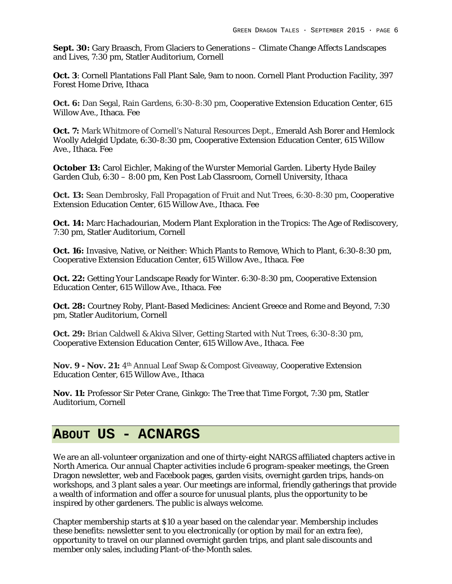**Sept. 30:** Gary Braasch, From Glaciers to Generations – Climate Change Affects Landscapes and Lives, 7:30 pm, Statler Auditorium, Cornell

**Oct. 3**: Cornell Plantations Fall Plant Sale, 9am to noon. Cornell Plant Production Facility, 397 Forest Home Drive, Ithaca

**Oct. 6:** Dan Segal, Rain Gardens, 6:30-8:30 pm, Cooperative Extension Education Center, 615 Willow Ave., Ithaca. Fee

**Oct. 7:** Mark Whitmore of Cornell's Natural Resources Dept., Emerald Ash Borer and Hemlock Woolly Adelgid Update, 6:30-8:30 pm, Cooperative Extension Education Center, 615 Willow Ave., Ithaca. Fee

**October 13:** Carol Eichler, Making of the Wurster Memorial Garden. Liberty Hyde Bailey Garden Club, 6:30 – 8:00 pm, Ken Post Lab Classroom, Cornell University, Ithaca

**Oct. 13:** Sean Dembrosky, Fall Propagation of Fruit and Nut Trees, 6:30-8:30 pm, Cooperative Extension Education Center, 615 Willow Ave., Ithaca. Fee

**Oct. 14:** Marc Hachadourian, Modern Plant Exploration in the Tropics: The Age of Rediscovery, 7:30 pm, Statler Auditorium, Cornell

**Oct. 16:** Invasive, Native, or Neither: Which Plants to Remove, Which to Plant, 6:30-8:30 pm, Cooperative Extension Education Center, 615 Willow Ave., Ithaca. Fee

**Oct. 22:** Getting Your Landscape Ready for Winter. 6:30-8:30 pm, Cooperative Extension Education Center, 615 Willow Ave., Ithaca. Fee

**Oct. 28:** Courtney Roby, Plant-Based Medicines: Ancient Greece and Rome and Beyond, 7:30 pm, Statler Auditorium, Cornell

**Oct. 29:** Brian Caldwell & Akiva Silver, Getting Started with Nut Trees, 6:30-8:30 pm, Cooperative Extension Education Center, 615 Willow Ave., Ithaca. Fee

**Nov. 9 - Nov. 21:** 4th Annual Leaf Swap & Compost Giveaway, Cooperative Extension Education Center, 615 Willow Ave., Ithaca

**Nov. 11:** Professor Sir Peter Crane, Ginkgo: The Tree that Time Forgot, 7:30 pm, Statler Auditorium, Cornell

### **ABOUT US - ACNARGS**

We are an all-volunteer organization and one of thirty-eight NARGS affiliated chapters active in North America. Our annual Chapter activities include 6 program-speaker meetings, the Green Dragon newsletter, web and Facebook pages, garden visits, overnight garden trips, hands-on workshops, and 3 plant sales a year. Our meetings are informal, friendly gatherings that provide a wealth of information and offer a source for unusual plants, plus the opportunity to be inspired by other gardeners. The public is always welcome.

Chapter membership starts at \$10 a year based on the calendar year. Membership includes these benefits: newsletter sent to you electronically (or option by mail for an extra fee), opportunity to travel on our planned overnight garden trips, and plant sale discounts and member only sales, including Plant-of-the-Month sales.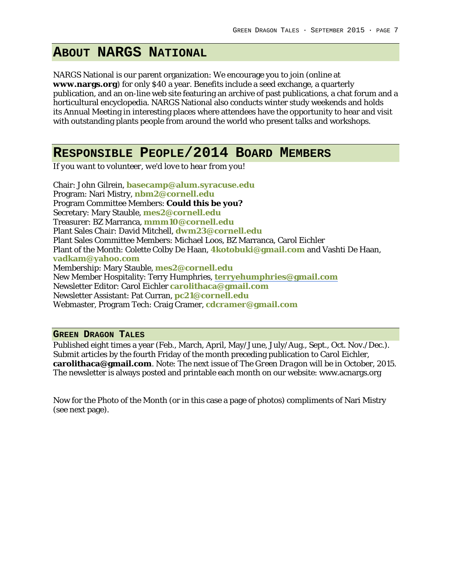# **ABOUT NARGS NATIONAL**

NARGS National is our parent organization: We encourage you to join (online at **www.nargs.org**) for only \$40 a year. Benefits include a seed exchange, a quarterly publication, and an on-line web site featuring an archive of past publications, a chat forum and a horticultural encyclopedia. NARGS National also conducts winter study weekends and holds its Annual Meeting in interesting places where attendees have the opportunity to hear and visit with outstanding plants people from around the world who present talks and workshops.

### **RESPONSIBLE PEOPLE/2014 BOARD MEMBERS**

*If you want to volunteer, we'd love to hear from you!*

Chair: John Gilrein, **basecamp@alum.syracuse.edu** Program: Nari Mistry, **nbm2@cornell.edu** Program Committee Members: **Could this be you?** Secretary: Mary Stauble, **mes2@cornell.edu** Treasurer: BZ Marranca, **mmm10@cornell.edu** Plant Sales Chair: David Mitchell, **dwm23@cornell.edu** Plant Sales Committee Members: Michael Loos, BZ Marranca, Carol Eichler Plant of the Month: Colette Colby De Haan, **4kotobuki@gmail.com** and Vashti De Haan, **vadkam@yahoo.com** Membership: Mary Stauble, **mes2@cornell.edu** New Member Hospitality: Terry Humphries, **terryehumphries@gmail.com** Newsletter Editor: Carol Eichler **carolithaca@gmail.com** Newsletter Assistant: Pat Curran, **pc21@cornell.edu** Webmaster, Program Tech: Craig Cramer, **cdcramer@gmail.com**

#### **GREEN DRAGON TALES**

Published eight times a year (Feb., March, April, May/June, July/Aug., Sept., Oct. Nov./Dec.). Submit articles by the fourth Friday of the month preceding publication to Carol Eichler, **carolithaca@gmail.com**. Note: The next issue of *The Green Dragon* will be in October, 2015. The newsletter is always posted and printable each month on our website: www.acnargs.org

Now for the Photo of the Month (or in this case a page of photos) compliments of Nari Mistry (see next page).